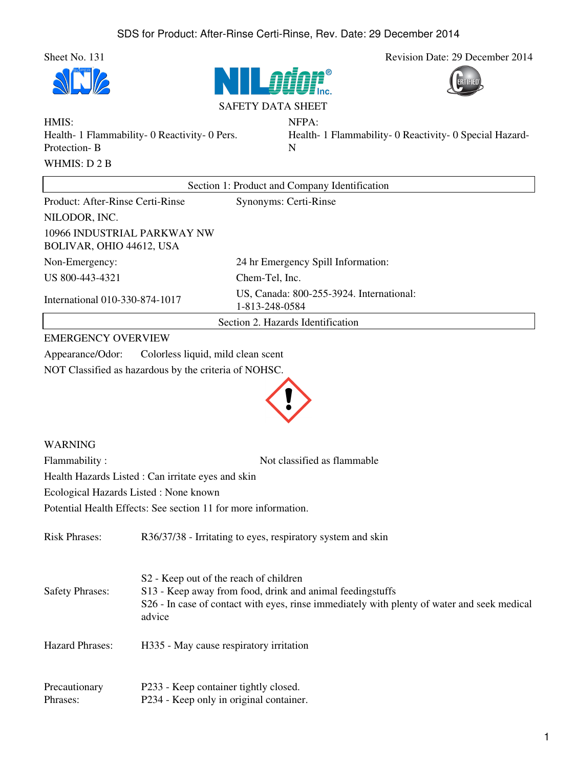







NFPA:

HMIS: Health- 1 Flammability- 0 Reactivity- 0 Pers. Protection- B WHMIS: D 2 B

Health- 1 Flammability- 0 Reactivity- 0 Special Hazard-N

| Section 1: Product and Company Identification           |                                                            |
|---------------------------------------------------------|------------------------------------------------------------|
| Product: After-Rinse Certi-Rinse                        | Synonyms: Certi-Rinse                                      |
| NILODOR, INC.                                           |                                                            |
| 10966 INDUSTRIAL PARKWAY NW<br>BOLIVAR, OHIO 44612, USA |                                                            |
| Non-Emergency:                                          | 24 hr Emergency Spill Information:                         |
| US 800-443-4321                                         | Chem-Tel, Inc.                                             |
| International 010-330-874-1017                          | US, Canada: 800-255-3924. International:<br>1-813-248-0584 |
| Section 2. Hazards Identification                       |                                                            |

## EMERGENCY OVERVIEW

Appearance/Odor: Colorless liquid, mild clean scent NOT Classified as hazardous by the criteria of NOHSC.



## WARNING

Flammability : Not classified as flammable

Health Hazards Listed : Can irritate eyes and skin

Ecological Hazards Listed : None known

Potential Health Effects: See section 11 for more information.

| <b>Risk Phrases:</b>      | R36/37/38 - Irritating to eyes, respiratory system and skin                                                                                                                                                              |
|---------------------------|--------------------------------------------------------------------------------------------------------------------------------------------------------------------------------------------------------------------------|
| <b>Safety Phrases:</b>    | S <sub>2</sub> - Keep out of the reach of children<br>S13 - Keep away from food, drink and animal feedingstuffs<br>S26 - In case of contact with eyes, rinse immediately with plenty of water and seek medical<br>advice |
| <b>Hazard Phrases:</b>    | H335 - May cause respiratory irritation                                                                                                                                                                                  |
| Precautionary<br>Phrases: | P233 - Keep container tightly closed.<br>P234 - Keep only in original container.                                                                                                                                         |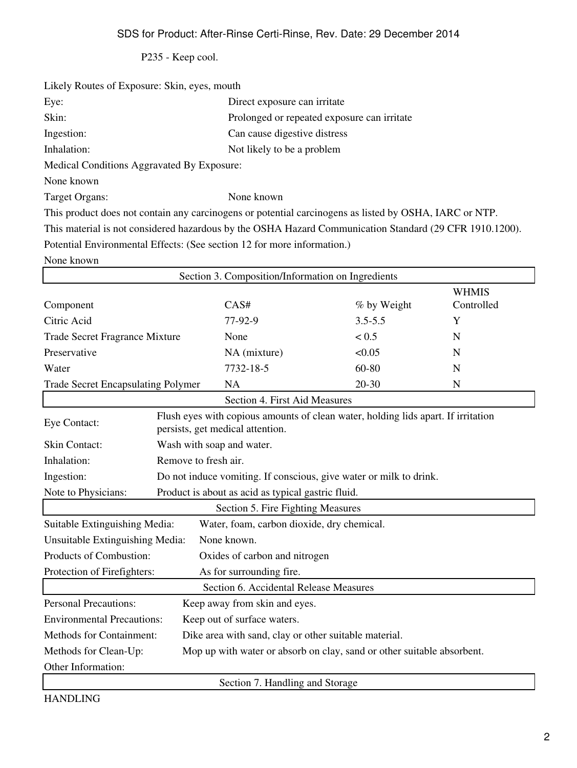P235 - Keep cool.

| Likely Routes of Exposure: Skin, eyes, mouth                            |                                                                                                         |
|-------------------------------------------------------------------------|---------------------------------------------------------------------------------------------------------|
| Eye:                                                                    | Direct exposure can irritate                                                                            |
| Skin:                                                                   | Prolonged or repeated exposure can irritate                                                             |
| Ingestion:                                                              | Can cause digestive distress                                                                            |
| Inhalation:                                                             | Not likely to be a problem                                                                              |
| Medical Conditions Aggravated By Exposure:                              |                                                                                                         |
| None known                                                              |                                                                                                         |
| Target Organs:                                                          | None known                                                                                              |
|                                                                         | This product does not contain any carcinogens or potential carcinogens as listed by OSHA, IARC or NTP.  |
|                                                                         | This material is not considered hazardous by the OSHA Hazard Communication Standard (29 CFR 1910.1200). |
| Potential Environmental Effects: (See section 12 for more information.) |                                                                                                         |
| None known                                                              |                                                                                                         |

| Section 3. Composition/Information on Ingredients                                               |                                                                                                                       |                                 |             |                            |
|-------------------------------------------------------------------------------------------------|-----------------------------------------------------------------------------------------------------------------------|---------------------------------|-------------|----------------------------|
| Component                                                                                       |                                                                                                                       | CAS#                            | % by Weight | <b>WHMIS</b><br>Controlled |
| Citric Acid                                                                                     |                                                                                                                       | 77-92-9                         | $3.5 - 5.5$ | Y                          |
| <b>Trade Secret Fragrance Mixture</b>                                                           |                                                                                                                       | None                            | < 0.5       | N                          |
| Preservative                                                                                    |                                                                                                                       | NA (mixture)                    | < 0.05      | N                          |
| Water                                                                                           |                                                                                                                       | 7732-18-5                       | 60-80       | N                          |
| <b>Trade Secret Encapsulating Polymer</b>                                                       |                                                                                                                       | <b>NA</b>                       | $20 - 30$   | N                          |
|                                                                                                 |                                                                                                                       | Section 4. First Aid Measures   |             |                            |
| Eye Contact:                                                                                    | Flush eyes with copious amounts of clean water, holding lids apart. If irritation<br>persists, get medical attention. |                                 |             |                            |
| <b>Skin Contact:</b>                                                                            |                                                                                                                       | Wash with soap and water.       |             |                            |
| Inhalation:                                                                                     |                                                                                                                       | Remove to fresh air.            |             |                            |
| Ingestion:                                                                                      | Do not induce vomiting. If conscious, give water or milk to drink.                                                    |                                 |             |                            |
| Product is about as acid as typical gastric fluid.<br>Note to Physicians:                       |                                                                                                                       |                                 |             |                            |
| Section 5. Fire Fighting Measures                                                               |                                                                                                                       |                                 |             |                            |
| Suitable Extinguishing Media:<br>Water, foam, carbon dioxide, dry chemical.                     |                                                                                                                       |                                 |             |                            |
| None known.<br>Unsuitable Extinguishing Media:                                                  |                                                                                                                       |                                 |             |                            |
| Products of Combustion:<br>Oxides of carbon and nitrogen                                        |                                                                                                                       |                                 |             |                            |
| Protection of Firefighters:<br>As for surrounding fire.                                         |                                                                                                                       |                                 |             |                            |
| Section 6. Accidental Release Measures                                                          |                                                                                                                       |                                 |             |                            |
| <b>Personal Precautions:</b><br>Keep away from skin and eyes.                                   |                                                                                                                       |                                 |             |                            |
|                                                                                                 | <b>Environmental Precautions:</b><br>Keep out of surface waters.                                                      |                                 |             |                            |
|                                                                                                 | Methods for Containment:<br>Dike area with sand, clay or other suitable material.                                     |                                 |             |                            |
| Methods for Clean-Up:<br>Mop up with water or absorb on clay, sand or other suitable absorbent. |                                                                                                                       |                                 |             |                            |
| Other Information:                                                                              |                                                                                                                       |                                 |             |                            |
|                                                                                                 |                                                                                                                       | Section 7. Handling and Storage |             |                            |

HANDLING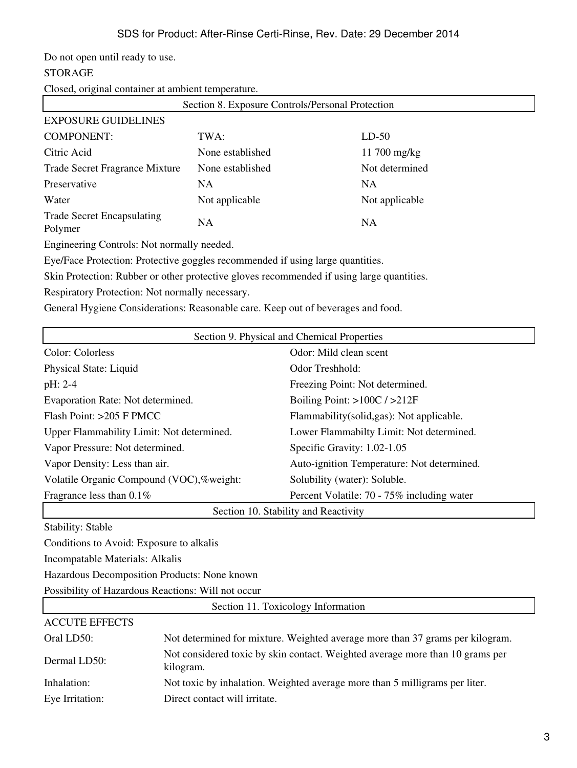Do not open until ready to use.

## STORAGE

Closed, original container at ambient temperature.

| Section 8. Exposure Controls/Personal Protection |                  |                |
|--------------------------------------------------|------------------|----------------|
| <b>EXPOSURE GUIDELINES</b>                       |                  |                |
| <b>COMPONENT:</b>                                | TWA:             | $LD-50$        |
| Citric Acid                                      | None established | 11 700 mg/kg   |
| Trade Secret Fragrance Mixture                   | None established | Not determined |
| Preservative                                     | NA               | <b>NA</b>      |
| Water                                            | Not applicable   | Not applicable |
| <b>Trade Secret Encapsulating</b><br>Polymer     | NA               | <b>NA</b>      |

Engineering Controls: Not normally needed.

Eye/Face Protection: Protective goggles recommended if using large quantities.

Skin Protection: Rubber or other protective gloves recommended if using large quantities.

Respiratory Protection: Not normally necessary.

General Hygiene Considerations: Reasonable care. Keep out of beverages and food.

| Section 9. Physical and Chemical Properties |                                            |  |
|---------------------------------------------|--------------------------------------------|--|
| Color: Colorless                            | Odor: Mild clean scent                     |  |
| Physical State: Liquid                      | Odor Treshhold:                            |  |
| pH: 2-4                                     | Freezing Point: Not determined.            |  |
| Evaporation Rate: Not determined.           | Boiling Point: $>100C / >212F$             |  |
| Flash Point: $>205$ F PMCC                  | Flammability(solid, gas): Not applicable.  |  |
| Upper Flammability Limit: Not determined.   | Lower Flammabilty Limit: Not determined.   |  |
| Vapor Pressure: Not determined.             | Specific Gravity: 1.02-1.05                |  |
| Vapor Density: Less than air.               | Auto-ignition Temperature: Not determined. |  |
| Volatile Organic Compound (VOC),%weight:    | Solubility (water): Soluble.               |  |
| Fragrance less than $0.1\%$                 | Percent Volatile: 70 - 75% including water |  |
| Section 10. Stability and Reactivity        |                                            |  |
| <b>Stability: Stable</b>                    |                                            |  |
| Conditions to Avoid: Exposure to alkalis    |                                            |  |

Incompatable Materials: Alkalis

Hazardous Decomposition Products: None known

Possibility of Hazardous Reactions: Will not occur

| Section 11. Toxicology Information |                                                                                            |  |  |
|------------------------------------|--------------------------------------------------------------------------------------------|--|--|
| <b>ACCUTE EFFECTS</b>              |                                                                                            |  |  |
| Oral LD50:                         | Not determined for mixture. Weighted average more than 37 grams per kilogram.              |  |  |
| Dermal LD50:                       | Not considered toxic by skin contact. Weighted average more than 10 grams per<br>kilogram. |  |  |
| Inhalation:                        | Not toxic by inhalation. Weighted average more than 5 milligrams per liter.                |  |  |
| Eye Irritation:                    | Direct contact will irritate.                                                              |  |  |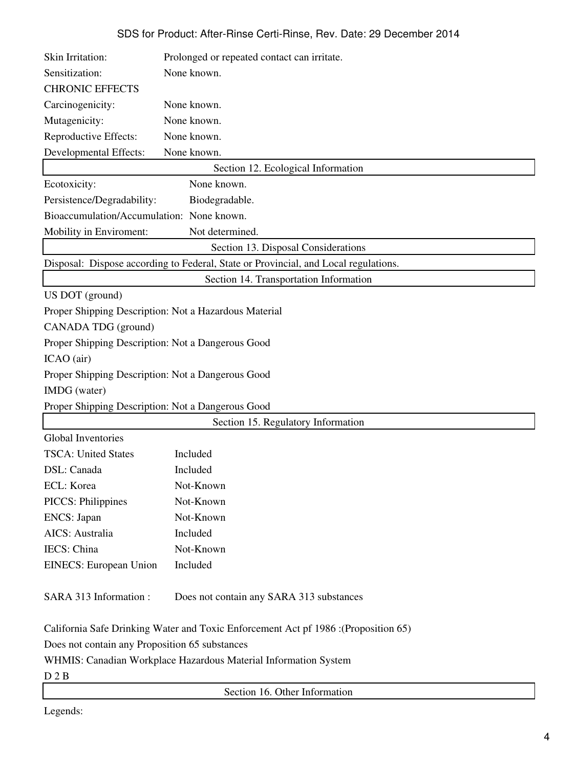| Skin Irritation:                                                | Prolonged or repeated contact can irritate.                                         |
|-----------------------------------------------------------------|-------------------------------------------------------------------------------------|
| Sensitization:                                                  | None known.                                                                         |
| <b>CHRONIC EFFECTS</b>                                          |                                                                                     |
| Carcinogenicity:                                                | None known.                                                                         |
| Mutagenicity:                                                   | None known.                                                                         |
| Reproductive Effects:                                           | None known.                                                                         |
| Developmental Effects:                                          | None known.                                                                         |
|                                                                 | Section 12. Ecological Information                                                  |
| Ecotoxicity:                                                    | None known.                                                                         |
| Persistence/Degradability:                                      | Biodegradable.                                                                      |
| Bioaccumulation/Accumulation: None known.                       |                                                                                     |
| Mobility in Enviroment:                                         | Not determined.                                                                     |
|                                                                 | Section 13. Disposal Considerations                                                 |
|                                                                 | Disposal: Dispose according to Federal, State or Provincial, and Local regulations. |
|                                                                 | Section 14. Transportation Information                                              |
| US DOT (ground)                                                 |                                                                                     |
|                                                                 | Proper Shipping Description: Not a Hazardous Material                               |
| CANADA TDG (ground)                                             |                                                                                     |
| Proper Shipping Description: Not a Dangerous Good               |                                                                                     |
| ICAO (air)                                                      |                                                                                     |
| Proper Shipping Description: Not a Dangerous Good               |                                                                                     |
| IMDG (water)                                                    |                                                                                     |
| Proper Shipping Description: Not a Dangerous Good               |                                                                                     |
|                                                                 | Section 15. Regulatory Information                                                  |
| <b>Global Inventories</b>                                       |                                                                                     |
| <b>TSCA: United States</b>                                      | Included                                                                            |
| DSL: Canada                                                     | Included                                                                            |
| ECL: Korea                                                      | Not-Known                                                                           |
| <b>PICCS: Philippines</b>                                       | Not-Known                                                                           |
| ENCS: Japan                                                     | Not-Known                                                                           |
| AICS: Australia                                                 | Included                                                                            |
| IECS: China                                                     | Not-Known                                                                           |
| <b>EINECS:</b> European Union                                   | Included                                                                            |
|                                                                 |                                                                                     |
| SARA 313 Information:                                           | Does not contain any SARA 313 substances                                            |
|                                                                 |                                                                                     |
|                                                                 | (Proposition 65): California Safe Drinking Water and Toxic Enforcement Act pf 1986  |
| Does not contain any Proposition 65 substances                  |                                                                                     |
| WHMIS: Canadian Workplace Hazardous Material Information System |                                                                                     |
| D 2 B                                                           |                                                                                     |
|                                                                 | Section 16. Other Information                                                       |